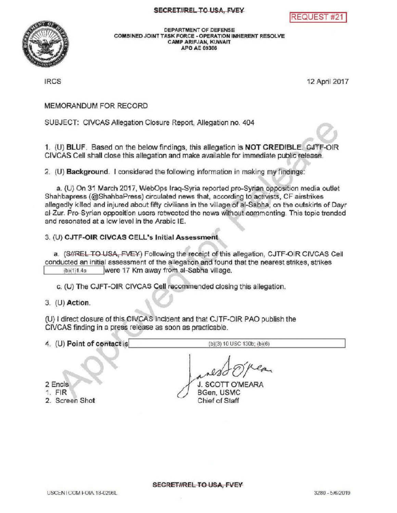



DEPARTMENTOF DEFENSE COMBINED JOINT TASK FORCE - OPERATION INHERENT RESOLVE CAMP ARIFJAN, KUWAIT APO AE 09306

IRCS 12 April2017

MEMORANDUM FOR RECORD

SUBJECT: CIVCAS Allegation Closure Report, Allegation no. 404

e 1. (U) BLUF. Based on the below findings, this allegation is NOT CREDIBLE. CJTF-OIR CIVCAS Cellshall close this allegation and make available for immediate public release.

2. (U) **Background.** I considered the following information in making my findings:

a. (U) On 31 March 2017, WebOps Iraq-Syria reported pro-Syrian opposition media outlet Shahbapress ( @ShahbaPress) circulated news that, according to activists, CF airstrikes allegedly killed and injured about fifty civilians in the village of al-Sabha, on the outskirts of Dayr al-Zur. Pro-Syrian opposition users retweeted the news without commenting. This topic trended and resonated at <sup>a</sup> low level inthe Arabic IE.

## 3. (U) CJTF-OIR CIVCAS CELL's Initial Assessment

a. (SHREL TO USA, FVEY) Following the receipt of this allegation, CJTF-OIR CIVCAS Cell conducted an initial assessment of the allegation and found that the nearest strikes, strikes<br>(b)(1)1.4a<br>were 17 Km away from al-Sabha village. were 17 Km away from al-Sabha village.

C. (U) The CJFT-OIR CIVCAS Cell recommended closing this allegation.

3. (U) Action

(U) I direct closure of this CIVCAS incident and that CJTF-OIR PAO publish the CIVCAS finding in a press release as soon as practicable.

4.  $(U)$  Point of contact is (b)(3) 10 USC 130b;  $(b)(6)$ 

**J. SCOTT O'MEARA** BGen, USMC Chief of Staff

2 Encls

## 1. FIR

2. Screen Shot